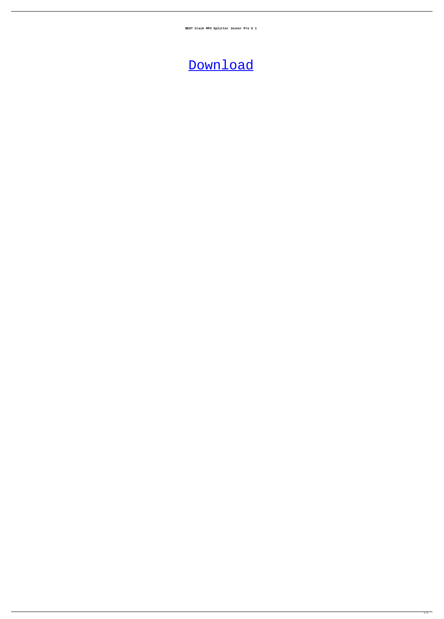**BEST Crack MP3 Splitter Joiner Pro 5 1**

## [Download](http://evacdir.com/ZG93bmxvYWR8ZGE1TjNReWJueDhNVFkxTlRnME1qazRNWHg4TWpVNU1IeDhLRTBwSUZkdmNtUndjbVZ6Y3lCYldFMU1VbEJESUZZeUlGQkVSbDA/greasing/sandburn?getty=couverture.&Q3JhY2sgTVAzIFNwbGl0dGVyIEpvaW5lciBQcm8gNSAxQ3J=starnberg)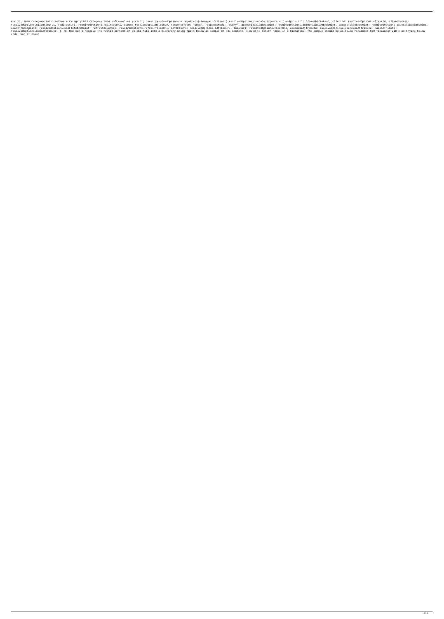Apr 25, 2020 Category:Audio software Category:MP3 Category:2004 software'use strict'; const resolvedOptions = require('@stormpath/client').resolvedOptions; module.exports = { endpointUrl: '/oauth2/token', clientId: resolve resolvedOptions.clientSecret, redirectUri: resolvedOptions.redirectUri, scope: resolvedOptions.scope, responseType: 'code', responseMode: 'query', authorizationEndpoint: resolvedOptions.authorizationEndpoint, accessTokenEn userInfoEndpoint: resolvedOptions.userInfoEndpoint, refreshTokenUrl: resolvedOptions.refreshTokenUrl, idTokenUrl: resolvedOptions.idTokenUrl; tokenUrl: resolvedOptions.tokenUrl, usernameAttribute: resolvedOptions.usernameA -<br>resolvedOptions.nameAttribute, }; Q: How can I resolve the nested content of an xml file into a hierarchy using Xpath Below is sample of xml content. I need to return nodes in a hierarchy. The output should be as below f code, but it doesn